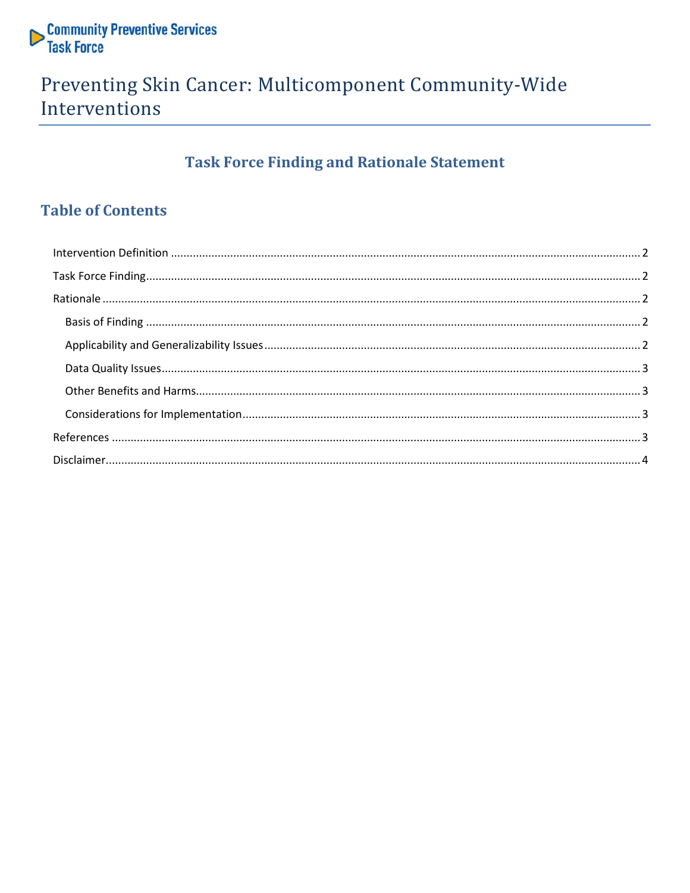

## Preventing Skin Cancer: Multicomponent Community-Wide Interventions

## **Task Force Finding and Rationale Statement**

### **Table of Contents**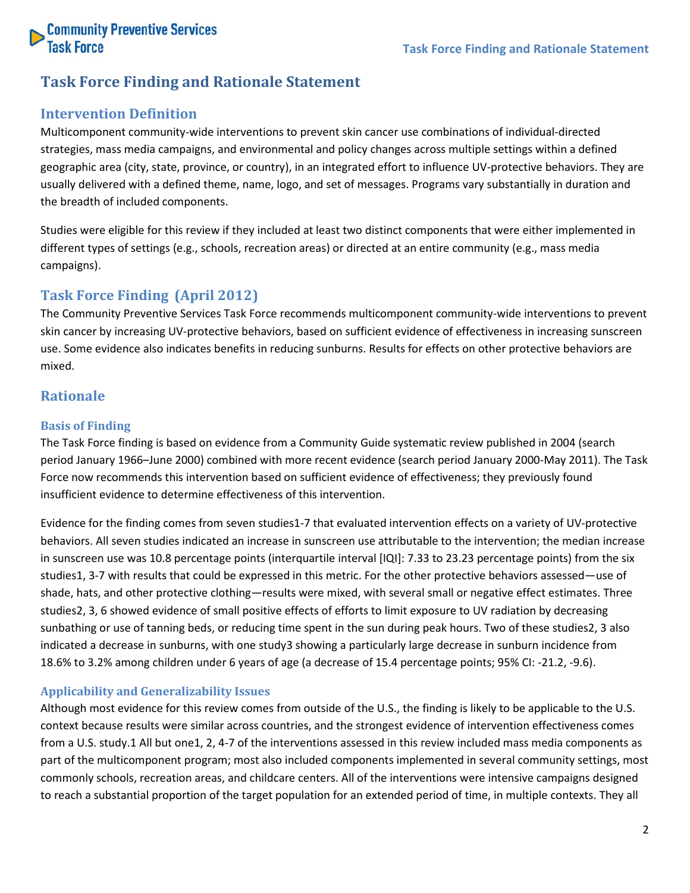

### **Task Force Finding and Rationale Statement**

#### <span id="page-1-0"></span>**Intervention Definition**

Multicomponent community-wide interventions to prevent skin cancer use combinations of individual-directed strategies, mass media campaigns, and environmental and policy changes across multiple settings within a defined geographic area (city, state, province, or country), in an integrated effort to influence UV-protective behaviors. They are usually delivered with a defined theme, name, logo, and set of messages. Programs vary substantially in duration and the breadth of included components.

Studies were eligible for this review if they included at least two distinct components that were either implemented in different types of settings (e.g., schools, recreation areas) or directed at an entire community (e.g., mass media campaigns).

#### <span id="page-1-1"></span>**Task Force Finding (April 2012)**

The Community Preventive Services Task Force recommends multicomponent community-wide interventions to prevent skin cancer by increasing UV-protective behaviors, based on sufficient evidence of effectiveness in increasing sunscreen use. Some evidence also indicates benefits in reducing sunburns. Results for effects on other protective behaviors are mixed.

#### <span id="page-1-2"></span>**Rationale**

#### <span id="page-1-3"></span>**Basis of Finding**

The Task Force finding is based on evidence from a Community Guide systematic review published in 2004 (search period January 1966–June 2000) combined with more recent evidence (search period January 2000-May 2011). The Task Force now recommends this intervention based on sufficient evidence of effectiveness; they previously found insufficient evidence to determine effectiveness of this intervention.

Evidence for the finding comes from seven studies1-7 that evaluated intervention effects on a variety of UV-protective behaviors. All seven studies indicated an increase in sunscreen use attributable to the intervention; the median increase in sunscreen use was 10.8 percentage points (interquartile interval [IQI]: 7.33 to 23.23 percentage points) from the six studies1, 3-7 with results that could be expressed in this metric. For the other protective behaviors assessed—use of shade, hats, and other protective clothing—results were mixed, with several small or negative effect estimates. Three studies2, 3, 6 showed evidence of small positive effects of efforts to limit exposure to UV radiation by decreasing sunbathing or use of tanning beds, or reducing time spent in the sun during peak hours. Two of these studies2, 3 also indicated a decrease in sunburns, with one study3 showing a particularly large decrease in sunburn incidence from 18.6% to 3.2% among children under 6 years of age (a decrease of 15.4 percentage points; 95% CI: -21.2, -9.6).

#### <span id="page-1-4"></span>**Applicability and Generalizability Issues**

Although most evidence for this review comes from outside of the U.S., the finding is likely to be applicable to the U.S. context because results were similar across countries, and the strongest evidence of intervention effectiveness comes from a U.S. study.1 All but one1, 2, 4-7 of the interventions assessed in this review included mass media components as part of the multicomponent program; most also included components implemented in several community settings, most commonly schools, recreation areas, and childcare centers. All of the interventions were intensive campaigns designed to reach a substantial proportion of the target population for an extended period of time, in multiple contexts. They all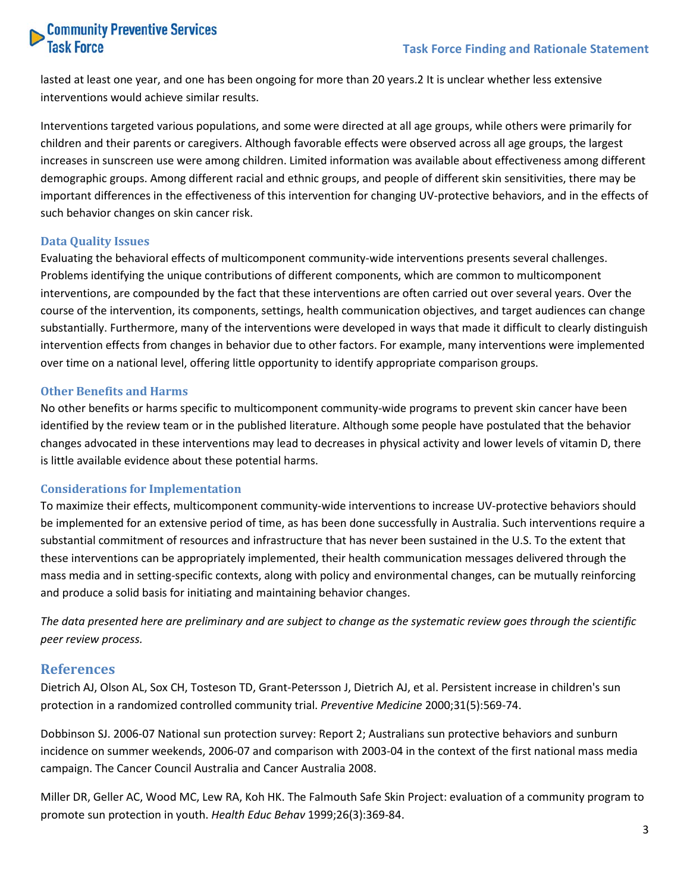# **Community Preventive Services**<br>Task Force

lasted at least one year, and one has been ongoing for more than 20 years.2 It is unclear whether less extensive interventions would achieve similar results.

Interventions targeted various populations, and some were directed at all age groups, while others were primarily for children and their parents or caregivers. Although favorable effects were observed across all age groups, the largest increases in sunscreen use were among children. Limited information was available about effectiveness among different demographic groups. Among different racial and ethnic groups, and people of different skin sensitivities, there may be important differences in the effectiveness of this intervention for changing UV-protective behaviors, and in the effects of such behavior changes on skin cancer risk.

#### <span id="page-2-0"></span>**Data Quality Issues**

Evaluating the behavioral effects of multicomponent community-wide interventions presents several challenges. Problems identifying the unique contributions of different components, which are common to multicomponent interventions, are compounded by the fact that these interventions are often carried out over several years. Over the course of the intervention, its components, settings, health communication objectives, and target audiences can change substantially. Furthermore, many of the interventions were developed in ways that made it difficult to clearly distinguish intervention effects from changes in behavior due to other factors. For example, many interventions were implemented over time on a national level, offering little opportunity to identify appropriate comparison groups.

#### <span id="page-2-1"></span>**Other Benefits and Harms**

No other benefits or harms specific to multicomponent community-wide programs to prevent skin cancer have been identified by the review team or in the published literature. Although some people have postulated that the behavior changes advocated in these interventions may lead to decreases in physical activity and lower levels of vitamin D, there is little available evidence about these potential harms.

#### <span id="page-2-2"></span>**Considerations for Implementation**

To maximize their effects, multicomponent community-wide interventions to increase UV-protective behaviors should be implemented for an extensive period of time, as has been done successfully in Australia. Such interventions require a substantial commitment of resources and infrastructure that has never been sustained in the U.S. To the extent that these interventions can be appropriately implemented, their health communication messages delivered through the mass media and in setting-specific contexts, along with policy and environmental changes, can be mutually reinforcing and produce a solid basis for initiating and maintaining behavior changes.

*The data presented here are preliminary and are subject to change as the systematic review goes through the scientific peer review process.*

#### <span id="page-2-3"></span>**References**

Dietrich AJ, Olson AL, Sox CH, Tosteson TD, Grant-Petersson J, Dietrich AJ, et al. Persistent increase in children's sun protection in a randomized controlled community trial. *Preventive Medicine* 2000;31(5):569-74.

Dobbinson SJ. 2006-07 National sun protection survey: Report 2; Australians sun protective behaviors and sunburn incidence on summer weekends, 2006-07 and comparison with 2003-04 in the context of the first national mass media campaign. The Cancer Council Australia and Cancer Australia 2008.

Miller DR, Geller AC, Wood MC, Lew RA, Koh HK. The Falmouth Safe Skin Project: evaluation of a community program to promote sun protection in youth. *Health Educ Behav* 1999;26(3):369-84.